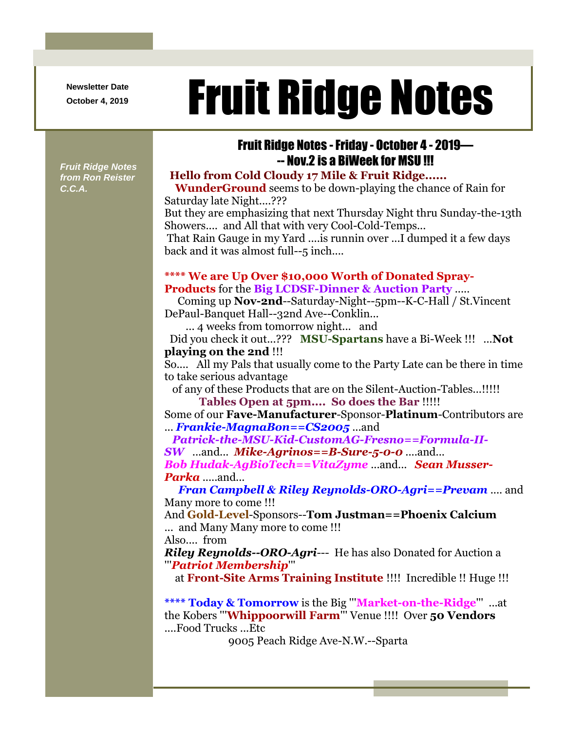**Newsletter Date**

# Newsletter Date **Fruit Ridge Notes**

# Fruit Ridge Notes -Friday - October 4 - 2019— -- Nov.2 is a BiWeek for MSU !!! *Fruit Ridge Notes*

*from Ron Reister C.C.A.*

## **Hello from Cold Cloudy 17 Mile & Fruit Ridge......**

**WunderGround** seems to be down-playing the chance of Rain for Saturday late Night....???

But they are emphasizing that next Thursday Night thru Sunday-the-13th Showers.... and All that with very Cool-Cold-Temps...

That Rain Gauge in my Yard ....is runnin over ...I dumped it a few days back and it was almost full--5 inch....

#### **\*\*\*\* We are Up Over \$10,000 Worth of Donated Spray-Products** for the **Big LCDSF-Dinner & Auction Party** .....

Coming up **Nov-2nd**--Saturday-Night--5pm--K-C-Hall / St.Vincent DePaul-Banquet Hall--32nd Ave--Conklin...

... 4 weeks from tomorrow night... and

Did you check it out...??? **MSU-Spartans** have a Bi-Week !!! ...**Not playing on the 2nd** !!!

So.... All my Pals that usually come to the Party Late can be there in time to take serious advantage

of any of these Products that are on the Silent-Auction-Tables...!!!!! **Tables Open at 5pm.... So does the Bar** !!!!!

Some of our **Fave-Manufacturer**-Sponsor-**Platinum**-Contributors are ... *Frankie-MagnaBon==CS2005* ...and

*Patrick-the-MSU-Kid-CustomAG-Fresno==Formula-II-SW* ...and... *Mike-Agrinos==B-Sure-5-0-0* ....and... *Bob Hudak-AgBioTech==VitaZyme* ...and... *Sean Musser-Parka* .....and...

*Fran Campbell & Riley Reynolds-ORO-Agri==Prevam* .... and Many more to come !!!

And **Gold-Level**-Sponsors--**Tom Justman==Phoenix Calcium** ... and Many Many more to come !!!

Also.... from

*Riley Reynolds--ORO-Agri*--- He has also Donated for Auction a '''*Patriot Membership*'''

at **Front-Site Arms Training Institute** !!!! Incredible !! Huge !!!

**\*\*\*\* Today & Tomorrow** is the Big '''**Market-on-the-Ridge**''' ...at the Kobers '''**Whippoorwill Farm**''' Venue !!!! Over **50 Vendors** ....Food Trucks ...Etc

9005 Peach Ridge Ave-N.W.--Sparta